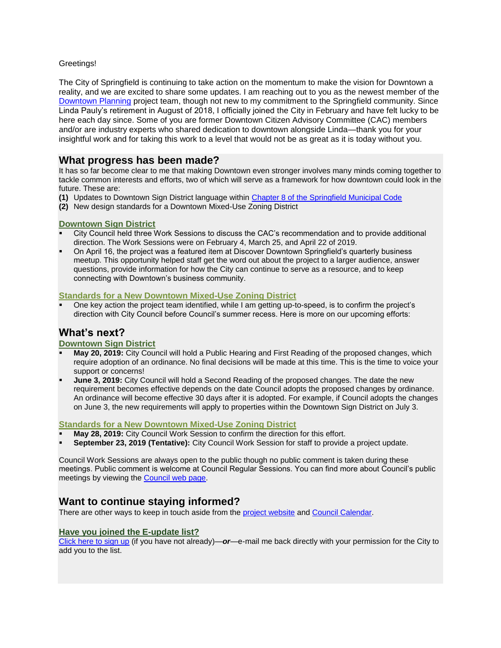### Greetings!

The City of Springfield is continuing to take action on the momentum to make the vision for Downtown a reality, and we are excited to share some updates. I am reaching out to you as the newest member of the [Downtown Planning](http://www.springfield-or.gov/city/development-public-works/downtown-planning/) project team, though not new to my commitment to the Springfield community. Since Linda Pauly's retirement in August of 2018, I officially joined the City in February and have felt lucky to be here each day since. Some of you are former Downtown Citizen Advisory Committee (CAC) members and/or are industry experts who shared dedication to downtown alongside Linda—thank you for your insightful work and for taking this work to a level that would not be as great as it is today without you.

# **What progress has been made?**

It has so far become clear to me that making Downtown even stronger involves many minds coming together to tackle common interests and efforts, two of which will serve as a framework for how downtown could look in the future. These are:

- **(1)** Updates to Downtown Sign District language within [Chapter 8 of the Springfield Municipal Code](http://www.qcode.us/codes/springfield/)
- **(2)** New design standards for a Downtown Mixed-Use Zoning District

### **Downtown Sign District**

- City Council held three Work Sessions to discuss the CAC's recommendation and to provide additional direction. The Work Sessions were on February 4, March 25, and April 22 of 2019.
- On April 16, the project was a featured item at Discover Downtown Springfield's quarterly business meetup. This opportunity helped staff get the word out about the project to a larger audience, answer questions, provide information for how the City can continue to serve as a resource, and to keep connecting with Downtown's business community.

#### **Standards for a New Downtown Mixed-Use Zoning District**

 One key action the project team identified, while I am getting up-to-speed, is to confirm the project's direction with City Council before Council's summer recess. Here is more on our upcoming efforts:

# **What's next?**

### **Downtown Sign District**

- **May 20, 2019:** City Council will hold a Public Hearing and First Reading of the proposed changes, which require adoption of an ordinance. No final decisions will be made at this time. This is the time to voice your support or concerns!
- **June 3, 2019:** City Council will hold a Second Reading of the proposed changes. The date the new requirement becomes effective depends on the date Council adopts the proposed changes by ordinance. An ordinance will become effective 30 days after it is adopted. For example, if Council adopts the changes on June 3, the new requirements will apply to properties within the Downtown Sign District on July 3.

### **Standards for a New Downtown Mixed-Use Zoning District**

- **May 28, 2019:** City Council Work Session to confirm the direction for this effort.
- **September 23, 2019 (Tentative):** City Council Work Session for staff to provide a project update.

Council Work Sessions are always open to the public though no public comment is taken during these meetings. Public comment is welcome at Council Regular Sessions. You can find more about Council's public meetings by viewing the [Council web page.](http://www.springfield-or.gov/city/city-council-meetings/)

# **Want to continue staying informed?**

There are other ways to keep in touch aside from the [project website](http://www.springfield-or.gov/city/development-public-works/downtown-planning/) an[d Council Calendar.](http://www.springfield-or.gov/events/)

#### **Have you joined the E-update list?**

[Click here to sign up](https://visitor.r20.constantcontact.com/manage/optin?v=001bikk82vct8R1oozHEUpna4-ZEs352xMn9f9PGYQ4fk2FbWdmZsqNbx3xYARO4rBZD9yvbEo54xtT4TA7V-rfumXtdD-HMaKU9zwt71rkQ4oD97SmpX1lKJXaBNd1spGfTn0v3tQQY5RVu4Omq8L7R6et2sXVutXtLA7mlG2rjyXkH7AbyMpEk_Hsrkmr9Vgddr_cS5210W0%3D) (if you have not already)—*or*—e-mail me back directly with your permission for the City to add you to the list.